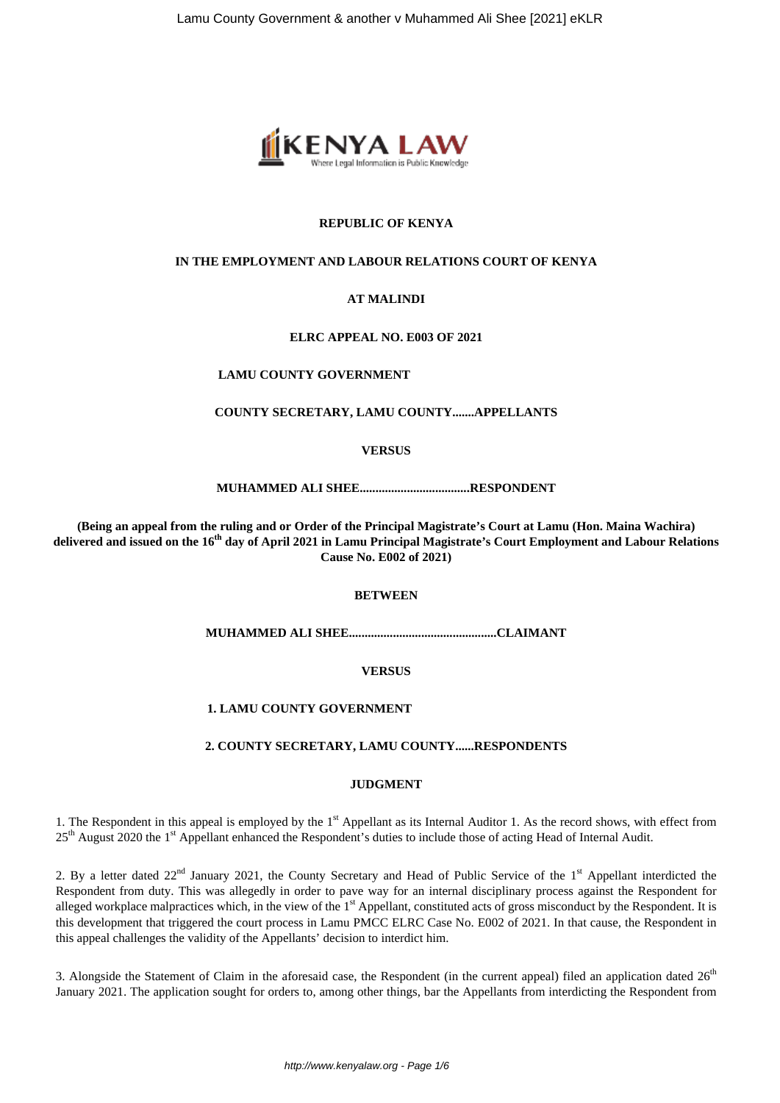

# **REPUBLIC OF KENYA**

# **IN THE EMPLOYMENT AND LABOUR RELATIONS COURT OF KENYA**

# **AT MALINDI**

#### **ELRC APPEAL NO. E003 OF 2021**

#### **LAMU COUNTY GOVERNMENT**

#### **COUNTY SECRETARY, LAMU COUNTY.......APPELLANTS**

#### **VERSUS**

#### **MUHAMMED ALI SHEE...................................RESPONDENT**

**(Being an appeal from the ruling and or Order of the Principal Magistrate's Court at Lamu (Hon. Maina Wachira) delivered and issued on the 16th day of April 2021 in Lamu Principal Magistrate's Court Employment and Labour Relations Cause No. E002 of 2021)**

#### **BETWEEN**

**MUHAMMED ALI SHEE...............................................CLAIMANT**

# **VERSUS**

# **1. LAMU COUNTY GOVERNMENT**

#### **2. COUNTY SECRETARY, LAMU COUNTY......RESPONDENTS**

#### **JUDGMENT**

1. The Respondent in this appeal is employed by the  $1<sup>st</sup>$  Appellant as its Internal Auditor 1. As the record shows, with effect from 25<sup>th</sup> August 2020 the 1<sup>st</sup> Appellant enhanced the Respondent's duties to include those of acting Head of Internal Audit.

2. By a letter dated 22<sup>nd</sup> January 2021, the County Secretary and Head of Public Service of the 1<sup>st</sup> Appellant interdicted the Respondent from duty. This was allegedly in order to pave way for an internal disciplinary process against the Respondent for alleged workplace malpractices which, in the view of the 1<sup>st</sup> Appellant, constituted acts of gross misconduct by the Respondent. It is this development that triggered the court process in Lamu PMCC ELRC Case No. E002 of 2021. In that cause, the Respondent in this appeal challenges the validity of the Appellants' decision to interdict him.

3. Alongside the Statement of Claim in the aforesaid case, the Respondent (in the current appeal) filed an application dated  $26<sup>th</sup>$ January 2021. The application sought for orders to, among other things, bar the Appellants from interdicting the Respondent from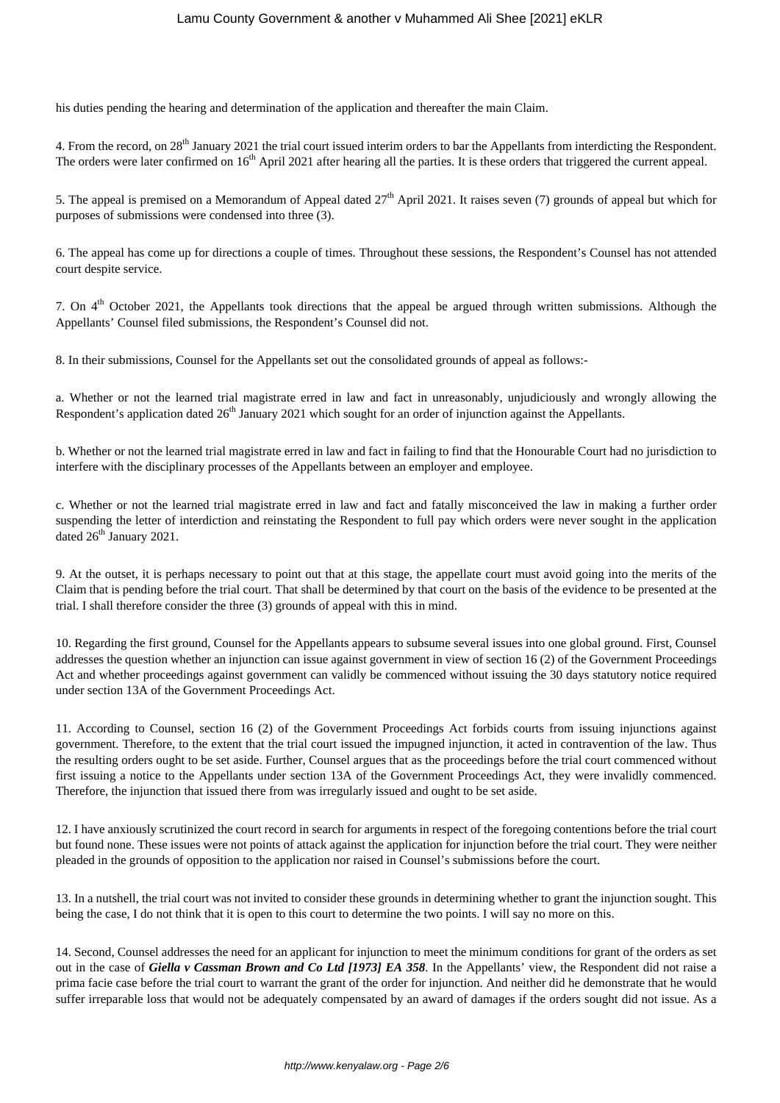his duties pending the hearing and determination of the application and thereafter the main Claim.

4. From the record, on 28<sup>th</sup> January 2021 the trial court issued interim orders to bar the Appellants from interdicting the Respondent. The orders were later confirmed on 16<sup>th</sup> April 2021 after hearing all the parties. It is these orders that triggered the current appeal.

5. The appeal is premised on a Memorandum of Appeal dated  $27<sup>th</sup>$  April 2021. It raises seven (7) grounds of appeal but which for purposes of submissions were condensed into three (3).

6. The appeal has come up for directions a couple of times. Throughout these sessions, the Respondent's Counsel has not attended court despite service.

7. On 4<sup>th</sup> October 2021, the Appellants took directions that the appeal be argued through written submissions. Although the Appellants' Counsel filed submissions, the Respondent's Counsel did not.

8. In their submissions, Counsel for the Appellants set out the consolidated grounds of appeal as follows:-

a. Whether or not the learned trial magistrate erred in law and fact in unreasonably, unjudiciously and wrongly allowing the Respondent's application dated  $26<sup>th</sup>$  January 2021 which sought for an order of injunction against the Appellants.

b. Whether or not the learned trial magistrate erred in law and fact in failing to find that the Honourable Court had no jurisdiction to interfere with the disciplinary processes of the Appellants between an employer and employee.

c. Whether or not the learned trial magistrate erred in law and fact and fatally misconceived the law in making a further order suspending the letter of interdiction and reinstating the Respondent to full pay which orders were never sought in the application dated 26<sup>th</sup> January 2021.

9. At the outset, it is perhaps necessary to point out that at this stage, the appellate court must avoid going into the merits of the Claim that is pending before the trial court. That shall be determined by that court on the basis of the evidence to be presented at the trial. I shall therefore consider the three (3) grounds of appeal with this in mind.

10. Regarding the first ground, Counsel for the Appellants appears to subsume several issues into one global ground. First, Counsel addresses the question whether an injunction can issue against government in view of section 16 (2) of the Government Proceedings Act and whether proceedings against government can validly be commenced without issuing the 30 days statutory notice required under section 13A of the Government Proceedings Act.

11. According to Counsel, section 16 (2) of the Government Proceedings Act forbids courts from issuing injunctions against government. Therefore, to the extent that the trial court issued the impugned injunction, it acted in contravention of the law. Thus the resulting orders ought to be set aside. Further, Counsel argues that as the proceedings before the trial court commenced without first issuing a notice to the Appellants under section 13A of the Government Proceedings Act, they were invalidly commenced. Therefore, the injunction that issued there from was irregularly issued and ought to be set aside.

12. I have anxiously scrutinized the court record in search for arguments in respect of the foregoing contentions before the trial court but found none. These issues were not points of attack against the application for injunction before the trial court. They were neither pleaded in the grounds of opposition to the application nor raised in Counsel's submissions before the court.

13. In a nutshell, the trial court was not invited to consider these grounds in determining whether to grant the injunction sought. This being the case, I do not think that it is open to this court to determine the two points. I will say no more on this.

14. Second, Counsel addresses the need for an applicant for injunction to meet the minimum conditions for grant of the orders as set out in the case of *Giella v Cassman Brown and Co Ltd [1973] EA 358*. In the Appellants' view, the Respondent did not raise a prima facie case before the trial court to warrant the grant of the order for injunction. And neither did he demonstrate that he would suffer irreparable loss that would not be adequately compensated by an award of damages if the orders sought did not issue. As a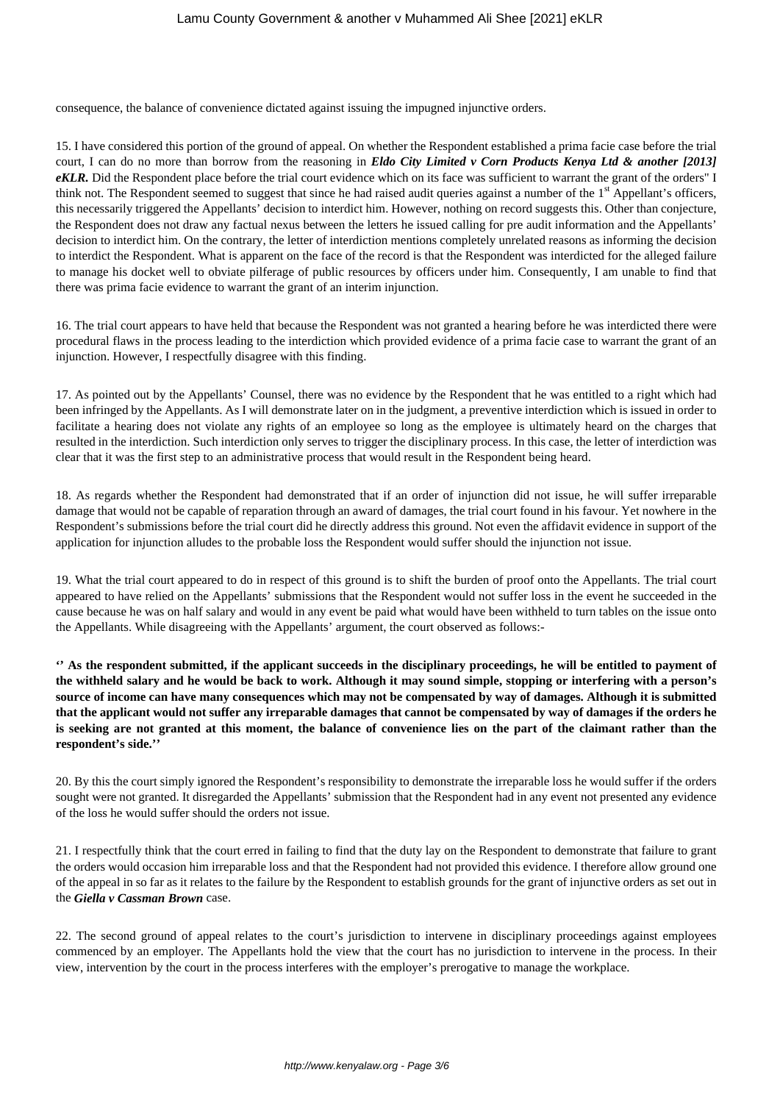consequence, the balance of convenience dictated against issuing the impugned injunctive orders.

15. I have considered this portion of the ground of appeal. On whether the Respondent established a prima facie case before the trial court, I can do no more than borrow from the reasoning in *Eldo City Limited v Corn Products Kenya Ltd & another [2013] eKLR.* Did the Respondent place before the trial court evidence which on its face was sufficient to warrant the grant of the orders" I think not. The Respondent seemed to suggest that since he had raised audit queries against a number of the 1<sup>st</sup> Appellant's officers, this necessarily triggered the Appellants' decision to interdict him. However, nothing on record suggests this. Other than conjecture, the Respondent does not draw any factual nexus between the letters he issued calling for pre audit information and the Appellants' decision to interdict him. On the contrary, the letter of interdiction mentions completely unrelated reasons as informing the decision to interdict the Respondent. What is apparent on the face of the record is that the Respondent was interdicted for the alleged failure to manage his docket well to obviate pilferage of public resources by officers under him. Consequently, I am unable to find that there was prima facie evidence to warrant the grant of an interim injunction.

16. The trial court appears to have held that because the Respondent was not granted a hearing before he was interdicted there were procedural flaws in the process leading to the interdiction which provided evidence of a prima facie case to warrant the grant of an injunction. However, I respectfully disagree with this finding.

17. As pointed out by the Appellants' Counsel, there was no evidence by the Respondent that he was entitled to a right which had been infringed by the Appellants. As I will demonstrate later on in the judgment, a preventive interdiction which is issued in order to facilitate a hearing does not violate any rights of an employee so long as the employee is ultimately heard on the charges that resulted in the interdiction. Such interdiction only serves to trigger the disciplinary process. In this case, the letter of interdiction was clear that it was the first step to an administrative process that would result in the Respondent being heard.

18. As regards whether the Respondent had demonstrated that if an order of injunction did not issue, he will suffer irreparable damage that would not be capable of reparation through an award of damages, the trial court found in his favour. Yet nowhere in the Respondent's submissions before the trial court did he directly address this ground. Not even the affidavit evidence in support of the application for injunction alludes to the probable loss the Respondent would suffer should the injunction not issue.

19. What the trial court appeared to do in respect of this ground is to shift the burden of proof onto the Appellants. The trial court appeared to have relied on the Appellants' submissions that the Respondent would not suffer loss in the event he succeeded in the cause because he was on half salary and would in any event be paid what would have been withheld to turn tables on the issue onto the Appellants. While disagreeing with the Appellants' argument, the court observed as follows:-

**'' As the respondent submitted, if the applicant succeeds in the disciplinary proceedings, he will be entitled to payment of the withheld salary and he would be back to work. Although it may sound simple, stopping or interfering with a person's source of income can have many consequences which may not be compensated by way of damages. Although it is submitted that the applicant would not suffer any irreparable damages that cannot be compensated by way of damages if the orders he is seeking are not granted at this moment, the balance of convenience lies on the part of the claimant rather than the respondent's side.''**

20. By this the court simply ignored the Respondent's responsibility to demonstrate the irreparable loss he would suffer if the orders sought were not granted. It disregarded the Appellants' submission that the Respondent had in any event not presented any evidence of the loss he would suffer should the orders not issue.

21. I respectfully think that the court erred in failing to find that the duty lay on the Respondent to demonstrate that failure to grant the orders would occasion him irreparable loss and that the Respondent had not provided this evidence. I therefore allow ground one of the appeal in so far as it relates to the failure by the Respondent to establish grounds for the grant of injunctive orders as set out in the *Giella v Cassman Brown* case.

22. The second ground of appeal relates to the court's jurisdiction to intervene in disciplinary proceedings against employees commenced by an employer. The Appellants hold the view that the court has no jurisdiction to intervene in the process. In their view, intervention by the court in the process interferes with the employer's prerogative to manage the workplace.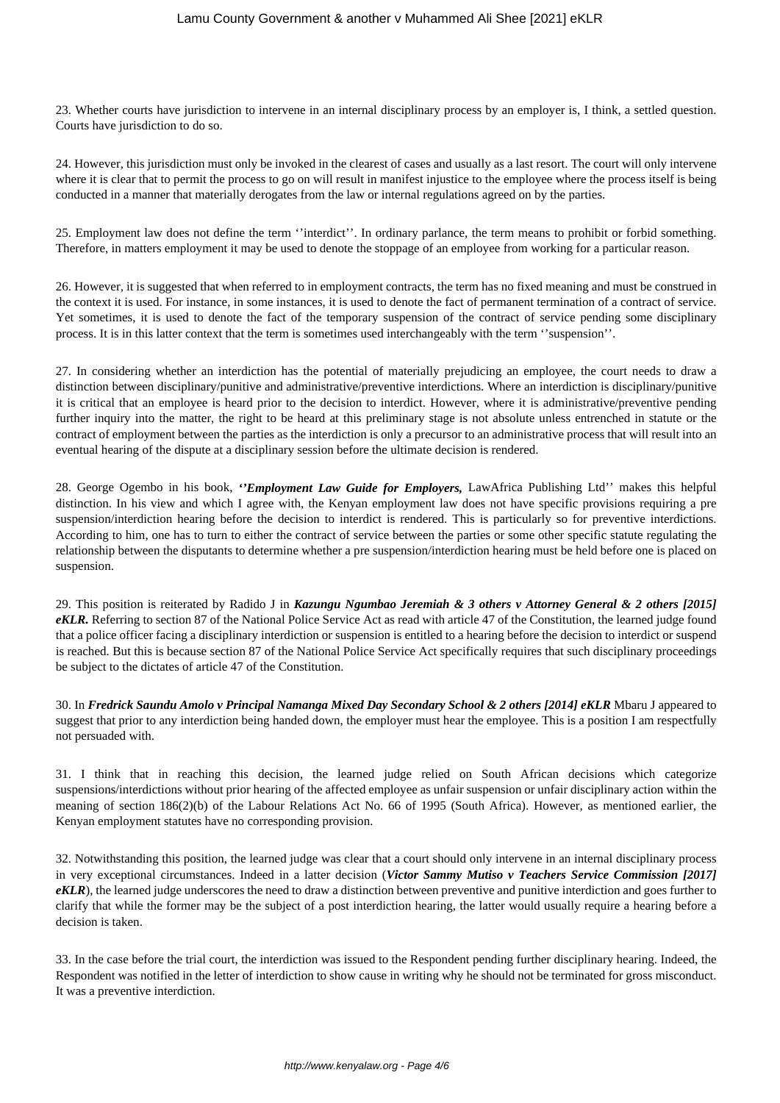23. Whether courts have jurisdiction to intervene in an internal disciplinary process by an employer is, I think, a settled question. Courts have jurisdiction to do so.

24. However, this jurisdiction must only be invoked in the clearest of cases and usually as a last resort. The court will only intervene where it is clear that to permit the process to go on will result in manifest injustice to the employee where the process itself is being conducted in a manner that materially derogates from the law or internal regulations agreed on by the parties.

25. Employment law does not define the term ''interdict''. In ordinary parlance, the term means to prohibit or forbid something. Therefore, in matters employment it may be used to denote the stoppage of an employee from working for a particular reason.

26. However, it is suggested that when referred to in employment contracts, the term has no fixed meaning and must be construed in the context it is used. For instance, in some instances, it is used to denote the fact of permanent termination of a contract of service. Yet sometimes, it is used to denote the fact of the temporary suspension of the contract of service pending some disciplinary process. It is in this latter context that the term is sometimes used interchangeably with the term ''suspension''.

27. In considering whether an interdiction has the potential of materially prejudicing an employee, the court needs to draw a distinction between disciplinary/punitive and administrative/preventive interdictions. Where an interdiction is disciplinary/punitive it is critical that an employee is heard prior to the decision to interdict. However, where it is administrative/preventive pending further inquiry into the matter, the right to be heard at this preliminary stage is not absolute unless entrenched in statute or the contract of employment between the parties as the interdiction is only a precursor to an administrative process that will result into an eventual hearing of the dispute at a disciplinary session before the ultimate decision is rendered.

28. George Ogembo in his book, *''Employment Law Guide for Employers,* LawAfrica Publishing Ltd'' makes this helpful distinction. In his view and which I agree with, the Kenyan employment law does not have specific provisions requiring a pre suspension/interdiction hearing before the decision to interdict is rendered. This is particularly so for preventive interdictions. According to him, one has to turn to either the contract of service between the parties or some other specific statute regulating the relationship between the disputants to determine whether a pre suspension/interdiction hearing must be held before one is placed on suspension.

29. This position is reiterated by Radido J in *Kazungu Ngumbao Jeremiah & 3 others v Attorney General & 2 others [2015] eKLR.* Referring to section 87 of the National Police Service Act as read with article 47 of the Constitution, the learned judge found that a police officer facing a disciplinary interdiction or suspension is entitled to a hearing before the decision to interdict or suspend is reached. But this is because section 87 of the National Police Service Act specifically requires that such disciplinary proceedings be subject to the dictates of article 47 of the Constitution.

30. In *Fredrick Saundu Amolo v Principal Namanga Mixed Day Secondary School & 2 others [2014] eKLR* Mbaru J appeared to suggest that prior to any interdiction being handed down, the employer must hear the employee. This is a position I am respectfully not persuaded with.

31. I think that in reaching this decision, the learned judge relied on South African decisions which categorize suspensions/interdictions without prior hearing of the affected employee as unfair suspension or unfair disciplinary action within the meaning of section 186(2)(b) of the Labour Relations Act No. 66 of 1995 (South Africa). However, as mentioned earlier, the Kenyan employment statutes have no corresponding provision.

32. Notwithstanding this position, the learned judge was clear that a court should only intervene in an internal disciplinary process in very exceptional circumstances. Indeed in a latter decision (*Victor Sammy Mutiso v Teachers Service Commission [2017] eKLR*), the learned judge underscores the need to draw a distinction between preventive and punitive interdiction and goes further to clarify that while the former may be the subject of a post interdiction hearing, the latter would usually require a hearing before a decision is taken.

33. In the case before the trial court, the interdiction was issued to the Respondent pending further disciplinary hearing. Indeed, the Respondent was notified in the letter of interdiction to show cause in writing why he should not be terminated for gross misconduct. It was a preventive interdiction.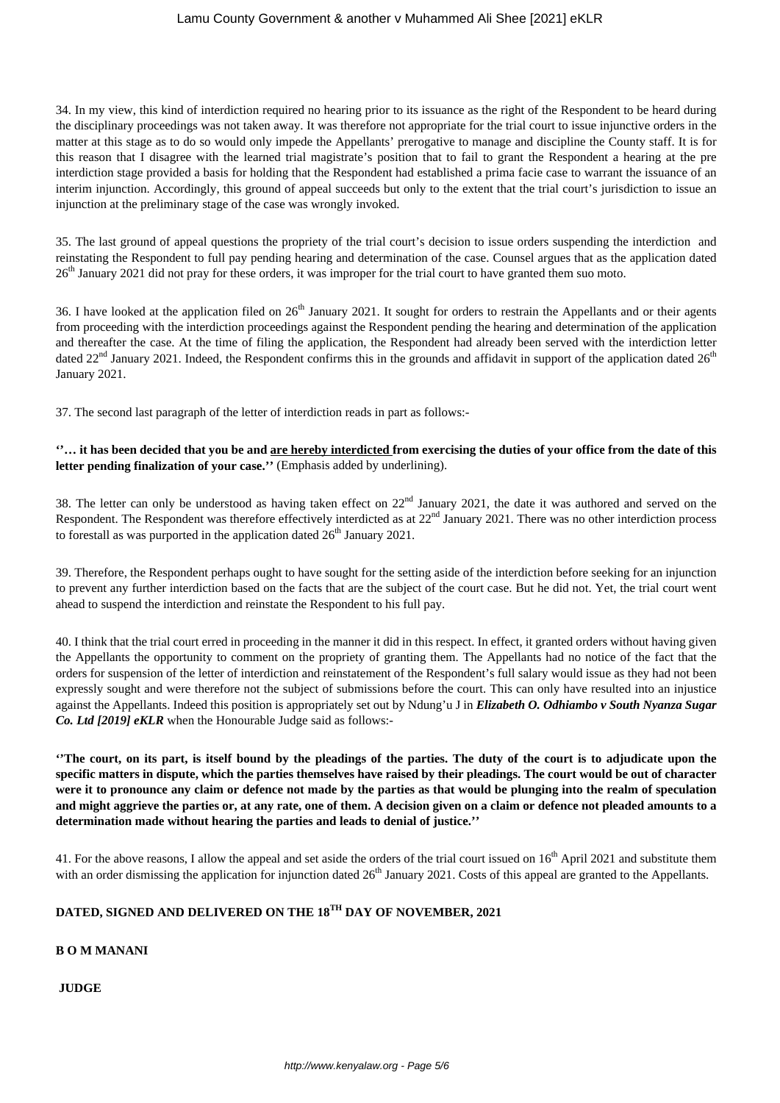# Lamu County Government & another v Muhammed Ali Shee [2021] eKLR

34. In my view, this kind of interdiction required no hearing prior to its issuance as the right of the Respondent to be heard during the disciplinary proceedings was not taken away. It was therefore not appropriate for the trial court to issue injunctive orders in the matter at this stage as to do so would only impede the Appellants' prerogative to manage and discipline the County staff. It is for this reason that I disagree with the learned trial magistrate's position that to fail to grant the Respondent a hearing at the pre interdiction stage provided a basis for holding that the Respondent had established a prima facie case to warrant the issuance of an interim injunction. Accordingly, this ground of appeal succeeds but only to the extent that the trial court's jurisdiction to issue an injunction at the preliminary stage of the case was wrongly invoked.

35. The last ground of appeal questions the propriety of the trial court's decision to issue orders suspending the interdiction and reinstating the Respondent to full pay pending hearing and determination of the case. Counsel argues that as the application dated 26<sup>th</sup> January 2021 did not pray for these orders, it was improper for the trial court to have granted them suo moto.

36. I have looked at the application filed on  $26<sup>th</sup>$  January 2021. It sought for orders to restrain the Appellants and or their agents from proceeding with the interdiction proceedings against the Respondent pending the hearing and determination of the application and thereafter the case. At the time of filing the application, the Respondent had already been served with the interdiction letter dated  $22<sup>nd</sup>$  January 2021. Indeed, the Respondent confirms this in the grounds and affidavit in support of the application dated  $26<sup>th</sup>$ January 2021.

37. The second last paragraph of the letter of interdiction reads in part as follows:-

# **''… it has been decided that you be and are hereby interdicted from exercising the duties of your office from the date of this letter pending finalization of your case.''** (Emphasis added by underlining).

38. The letter can only be understood as having taken effect on  $22<sup>nd</sup>$  January 2021, the date it was authored and served on the Respondent. The Respondent was therefore effectively interdicted as at  $22<sup>nd</sup>$  January 2021. There was no other interdiction process to forestall as was purported in the application dated  $26<sup>th</sup>$  January 2021.

39. Therefore, the Respondent perhaps ought to have sought for the setting aside of the interdiction before seeking for an injunction to prevent any further interdiction based on the facts that are the subject of the court case. But he did not. Yet, the trial court went ahead to suspend the interdiction and reinstate the Respondent to his full pay.

40. I think that the trial court erred in proceeding in the manner it did in this respect. In effect, it granted orders without having given the Appellants the opportunity to comment on the propriety of granting them. The Appellants had no notice of the fact that the orders for suspension of the letter of interdiction and reinstatement of the Respondent's full salary would issue as they had not been expressly sought and were therefore not the subject of submissions before the court. This can only have resulted into an injustice against the Appellants. Indeed this position is appropriately set out by Ndung'u J in *Elizabeth O. Odhiambo v South Nyanza Sugar Co. Ltd [2019] eKLR* when the Honourable Judge said as follows:-

**''The court, on its part, is itself bound by the pleadings of the parties. The duty of the court is to adjudicate upon the specific matters in dispute, which the parties themselves have raised by their pleadings. The court would be out of character were it to pronounce any claim or defence not made by the parties as that would be plunging into the realm of speculation and might aggrieve the parties or, at any rate, one of them. A decision given on a claim or defence not pleaded amounts to a determination made without hearing the parties and leads to denial of justice.''**

41. For the above reasons, I allow the appeal and set aside the orders of the trial court issued on 16<sup>th</sup> April 2021 and substitute them with an order dismissing the application for injunction dated  $26<sup>th</sup>$  January 2021. Costs of this appeal are granted to the Appellants.

# **DATED, SIGNED AND DELIVERED ON THE 18TH DAY OF NOVEMBER, 2021**

# **B O M MANANI**

**JUDGE**